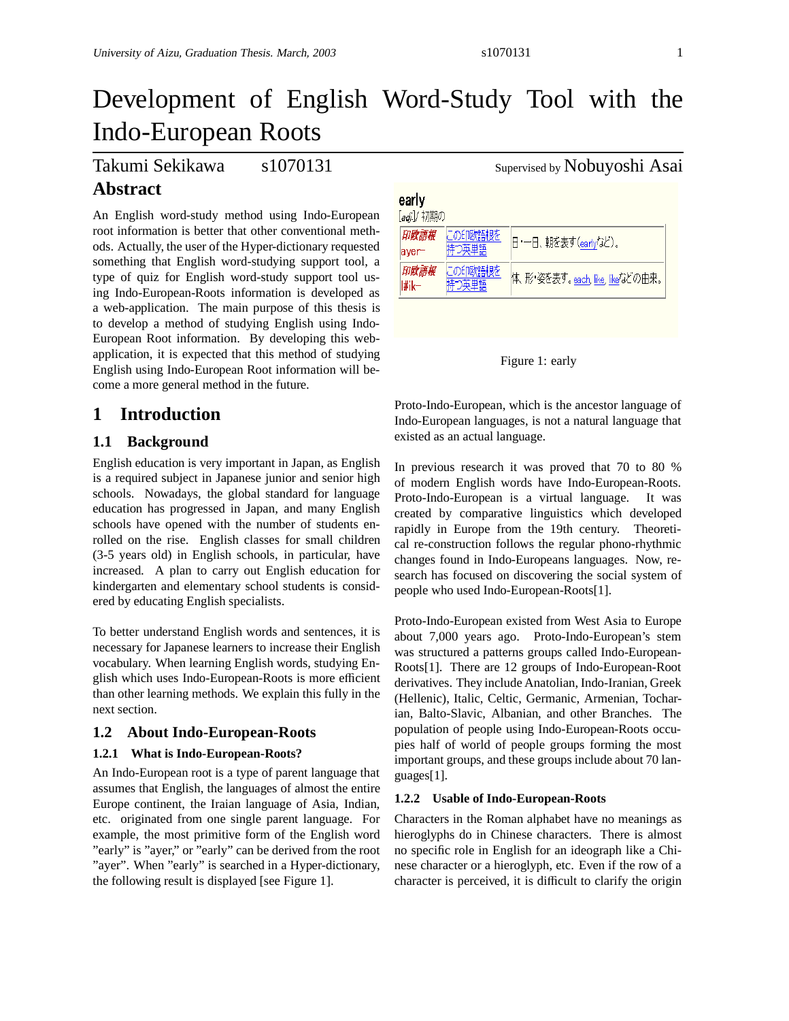# Development of English Word-Study Tool with the Indo-European Roots

# Takumi Sekikawa s1070131 Supervised by Nobuyoshi Asai

# **Abstract**

An English word-study method using Indo-European root information is better that other conventional methods. Actually, the user of the Hyper-dictionary requested something that English word-studying support tool, a type of quiz for English word-study support tool using Indo-European-Roots information is developed as a web-application. The main purpose of this thesis is to develop a method of studying English using Indo-European Root information. By developing this webapplication, it is expected that this method of studying English using Indo-European Root information will become a more general method in the future.

## **1 Introduction**

#### **1.1 Background**

English education is very important in Japan, as English is a required subject in Japanese junior and senior high schools. Nowadays, the global standard for language education has progressed in Japan, and many English schools have opened with the number of students enrolled on the rise. English classes for small children (3-5 years old) in English schools, in particular, have increased. A plan to carry out English education for kindergarten and elementary school students is considered by educating English specialists.

To better understand English words and sentences, it is necessary for Japanese learners to increase their English vocabulary. When learning English words, studying English which uses Indo-European-Roots is more efficient than other learning methods. We explain this fully in the next section.

#### **1.2 About Indo-European-Roots**

#### **1.2.1 What is Indo-European-Roots?**

An Indo-European root is a type of parent language that assumes that English, the languages of almost the entire Europe continent, the Iraian language of Asia, Indian, etc. originated from one single parent language. For example, the most primitive form of the English word "early" is "ayer," or "early" can be derived from the root "ayer". When "early" is searched in a Hyper-dictionary, the following result is displayed [see Figure 1].

| early<br>[adi.]/ 初期の |                  |                                  |  |  |
|----------------------|------------------|----------------------------------|--|--|
| 印欧語根<br>aver-        | この印欧語根を<br>キつ英単語 | 日·一日、朝を表す(earlyなど)。              |  |  |
| 印欧語根<br>l#ik—        | この印欧語根を<br>漢単語   | 体、形・姿を表す。each, like, like/aどの由来。 |  |  |



Proto-Indo-European, which is the ancestor language of Indo-European languages, is not a natural language that existed as an actual language.

In previous research it was proved that 70 to 80 % of modern English words have Indo-European-Roots. Proto-Indo-European is a virtual language. It was created by comparative linguistics which developed rapidly in Europe from the 19th century. Theoretical re-construction follows the regular phono-rhythmic changes found in Indo-Europeans languages. Now, research has focused on discovering the social system of people who used Indo-European-Roots[1].

Proto-Indo-European existed from West Asia to Europe about 7,000 years ago. Proto-Indo-European's stem was structured a patterns groups called Indo-European-Roots[1]. There are 12 groups of Indo-European-Root derivatives. They include Anatolian, Indo-Iranian, Greek (Hellenic), Italic, Celtic, Germanic, Armenian, Tocharian, Balto-Slavic, Albanian, and other Branches. The population of people using Indo-European-Roots occupies half of world of people groups forming the most important groups, and these groups include about 70 languages[1].

#### **1.2.2 Usable of Indo-European-Roots**

Characters in the Roman alphabet have no meanings as hieroglyphs do in Chinese characters. There is almost no specific role in English for an ideograph like a Chinese character or a hieroglyph, etc. Even if the row of a character is perceived, it is difficult to clarify the origin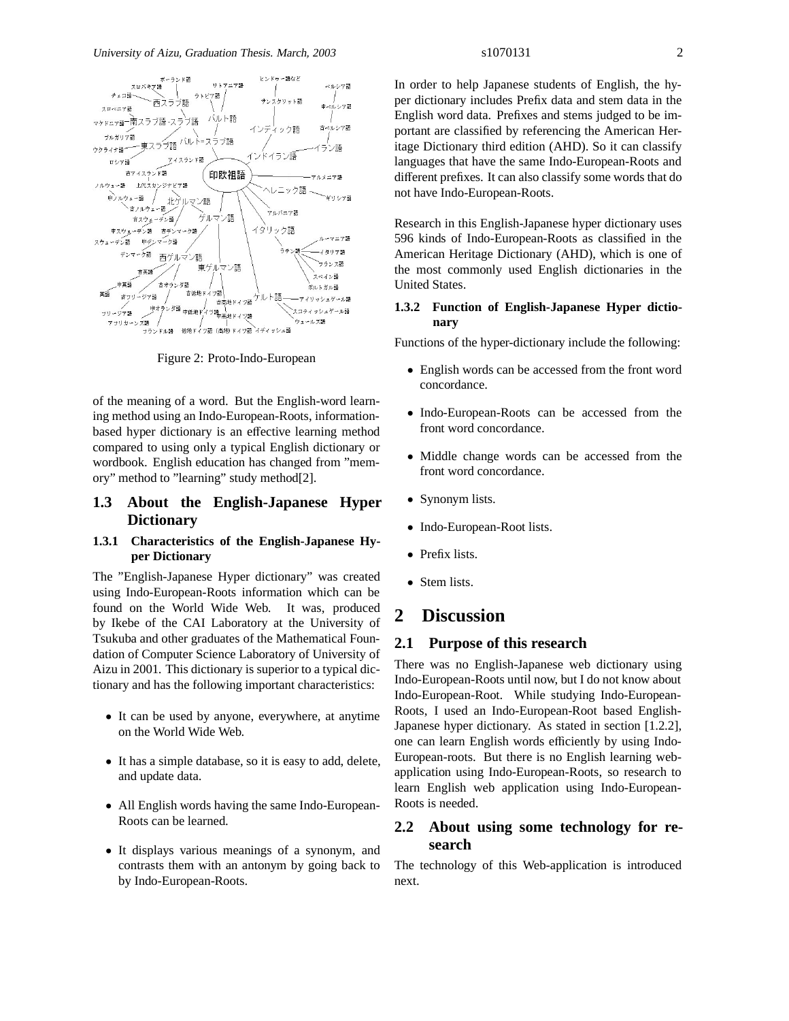

Figure 2: Proto-Indo-European

of the meaning of a word. But the English-word learning method using an Indo-European-Roots, informationbased hyper dictionary is an effective learning method compared to using only a typical English dictionary or wordbook. English education has changed from "memory" method to "learning" study method[2].

#### **1.3 About the English-Japanese Hyper Dictionary**

#### **1.3.1 Characteristics of the English-Japanese Hyper Dictionary**

The "English-Japanese Hyper dictionary" was created using Indo-European-Roots information which can be found on the World Wide Web. It was, produced by Ikebe of the CAI Laboratory at the University of Tsukuba and other graduates of the Mathematical Foundation of Computer Science Laboratory of University of Aizu in 2001. This dictionary is superior to a typical dictionary and has the following important characteristics:

- It can be used by anyone, everywhere, at anytime on the World Wide Web.
- It has a simple database, so it is easy to add, delete, and update data.
- All English words having the same Indo-European-Roots can be learned.
- It displays various meanings of a synonym, and contrasts them with an antonym by going back to by Indo-European-Roots.

In order to help Japanese students of English, the hyper dictionary includes Prefix data and stem data in the English word data. Prefixes and stems judged to be important are classified by referencing the American Heritage Dictionary third edition (AHD). So it can classify languages that have the same Indo-European-Roots and different prefixes. It can also classify some words that do not have Indo-European-Roots.

Research in this English-Japanese hyper dictionary uses 596 kinds of Indo-European-Roots as classified in the American Heritage Dictionary (AHD), which is one of the most commonly used English dictionaries in the United States.

#### **1.3.2 Function of English-Japanese Hyper dictionary**

Functions of the hyper-dictionary include the following:

- English words can be accessed from the front word concordance.
- Indo-European-Roots can be accessed from the front word concordance.
- Middle change words can be accessed from the front word concordance.
- Synonym lists.
- Indo-European-Root lists.
- Prefix lists.
- Stem lists.

### **2 Discussion**

#### **2.1 Purpose of this research**

There was no English-Japanese web dictionary using Indo-European-Roots until now, but I do not know about Indo-European-Root. While studying Indo-European-Roots, I used an Indo-European-Root based English-Japanese hyper dictionary. As stated in section [1.2.2], one can learn English words efficiently by using Indo-European-roots. But there is no English learning webapplication using Indo-European-Roots, so research to learn English web application using Indo-European-Roots is needed.

#### **2.2 About using some technology for research**

The technology of this Web-application is introduced next.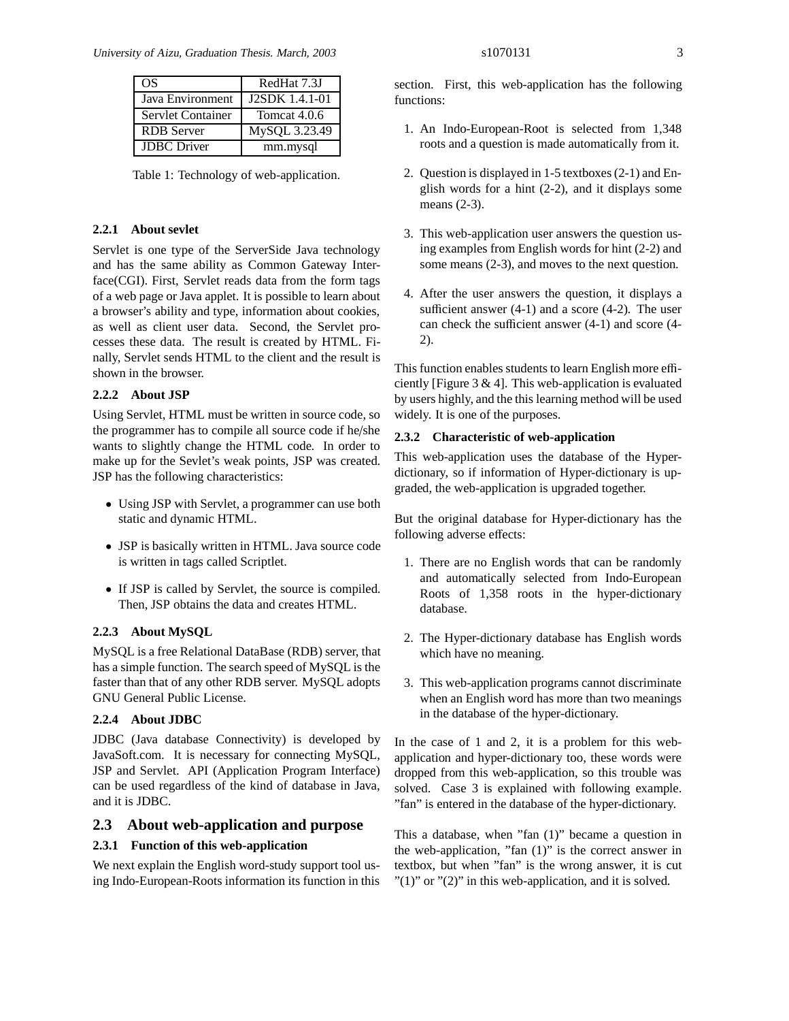| OS                 | RedHat 7.3J           |
|--------------------|-----------------------|
| Java Environment   | <b>J2SDK</b> 1.4.1-01 |
| Servlet Container  | Tomcat 4.0.6          |
| <b>RDB</b> Server  | MySQL 3.23.49         |
| <b>JDBC</b> Driver | mm.mysql              |

Table 1: Technology of web-application.

#### **2.2.1 About sevlet**

Servlet is one type of the ServerSide Java technology and has the same ability as Common Gateway Interface(CGI). First, Servlet reads data from the form tags of a web page or Java applet. It is possible to learn about a browser's ability and type, information about cookies, as well as client user data. Second, the Servlet processes these data. The result is created by HTML. Finally, Servlet sends HTML to the client and the result is shown in the browser.

#### **2.2.2 About JSP**

Using Servlet, HTML must be written in source code, so the programmer has to compile all source code if he/she wants to slightly change the HTML code. In order to make up for the Sevlet's weak points, JSP was created. JSP has the following characteristics:

- Using JSP with Servlet, a programmer can use both static and dynamic HTML.
- JSP is basically written in HTML. Java source code is written in tags called Scriptlet.
- If JSP is called by Servlet, the source is compiled. Then, JSP obtains the data and creates HTML.

#### **2.2.3 About MySQL**

MySQL is a free Relational DataBase (RDB) server, that has a simple function. The search speed of MySQL is the faster than that of any other RDB server. MySQL adopts GNU General Public License.

#### **2.2.4 About JDBC**

JDBC (Java database Connectivity) is developed by JavaSoft.com. It is necessary for connecting MySQL, JSP and Servlet. API (Application Program Interface) can be used regardless of the kind of database in Java, and it is JDBC.

#### **2.3 About web-application and purpose**

#### **2.3.1 Function of this web-application**

We next explain the English word-study support tool using Indo-European-Roots information its function in this section. First, this web-application has the following functions:

- 1. An Indo-European-Root is selected from 1,348 roots and a question is made automatically from it.
- 2. Question is displayed in 1-5 textboxes (2-1) and English words for a hint (2-2), and it displays some means (2-3).
- 3. This web-application user answers the question using examples from English words for hint (2-2) and some means (2-3), and moves to the next question.
- 4. After the user answers the question, it displays a sufficient answer (4-1) and a score (4-2). The user can check the sufficient answer (4-1) and score (4- 2).

This function enables students to learn English more efficiently [Figure  $3 \& 4$ ]. This web-application is evaluated by users highly, and the this learning method will be used widely. It is one of the purposes.

#### **2.3.2 Characteristic of web-application**

This web-application uses the database of the Hyperdictionary, so if information of Hyper-dictionary is upgraded, the web-application is upgraded together.

But the original database for Hyper-dictionary has the following adverse effects:

- 1. There are no English words that can be randomly and automatically selected from Indo-European Roots of 1,358 roots in the hyper-dictionary database.
- 2. The Hyper-dictionary database has English words which have no meaning.
- 3. This web-application programs cannot discriminate when an English word has more than two meanings in the database of the hyper-dictionary.

In the case of 1 and 2, it is a problem for this webapplication and hyper-dictionary too, these words were dropped from this web-application, so this trouble was solved. Case 3 is explained with following example. "fan" is entered in the database of the hyper-dictionary.

This a database, when "fan (1)" became a question in the web-application, "fan (1)" is the correct answer in textbox, but when "fan" is the wrong answer, it is cut  $"(1)"$  or  $"(2)"$  in this web-application, and it is solved.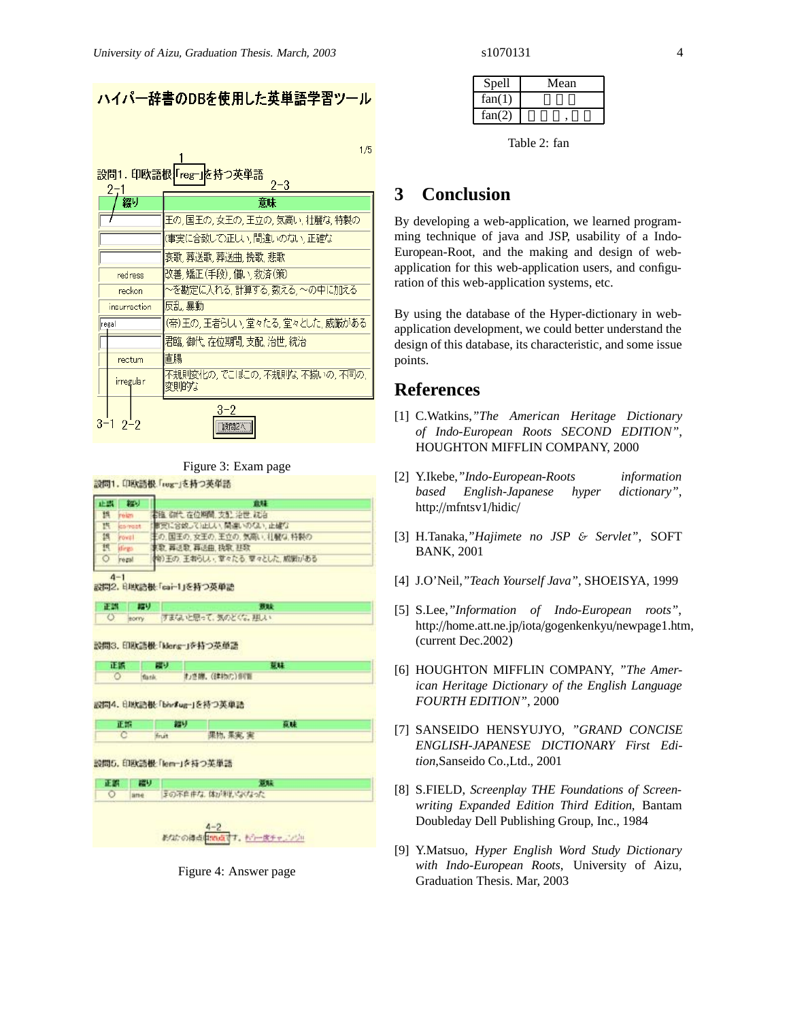$1/5$ 

設問1.印欧語根 「reg-」を持つ英単語  $2 - 3$ 

| 綴り           | 意味                                      |
|--------------|-----------------------------------------|
|              | 王の,国王の,女王の,王立の,気高い,壮麗な,特製の              |
|              | (事実に合致して)正しい 間違いのない 正確な                 |
|              | 哀歌,葬送歌,葬送曲,挽歌,悲歌                        |
| redress      | 改善,矯正(手段),償い,救済(策)                      |
| reckon       | ~を勘定に入れる,計算する,数える,~の中に加える               |
| insurrection | 反乱 暴動                                   |
| regal        | (帝)王の,王者らしい,堂々たる,堂々とした,威厳がある            |
|              | 君臨, 御代, 在位期間, 支配, 治世, 統治                |
| rectum       | 直腸                                      |
| irregular    | 不規則変化の, でこぼこの, 不規則な, 不揃いの, 不同の,<br>変則的な |
| $3 - 1$      | $3 - 2$<br>□ 設問2へ                       |

Figure 3: Exam page

設問1. 印欧語根「reg-」を持つ英単語

|   | かり    |                             |
|---|-------|-----------------------------|
|   |       | 書臨 御代 在位期間 支配 治世 統治         |
| 拱 |       | ま支に合成してはしい、開連いのない、止確な       |
|   |       | 主の、国王の、女王の、王立の、気南い、杜賢な、特製の  |
|   |       | 東歌 葬送歌 葬送曲、执歌、狂歌            |
|   | regal | キリ王の、王者らしい、草々たる、草々とした、威張がある |

提供

ात

設問2. 日地店根「cai-1」を持つ英単語

正確 FJ **Bat** すまないと思って、気のとくな、摂入 torry

オノき線。(まわに)伊南

設問3. 印取語根「klerg-」を持つ英単語

TF 97

設問4. 日地油根「bhr#ug-」を持つ英単語





| 正装 一层以 | <b>ALLEY</b>           |
|--------|------------------------|
|        | ○ ame Fの不自由な 体が利いなくなった |





| Spell  | Mean |
|--------|------|
| fan(1) |      |
| fan(2) |      |

Table 2: fan

# **3 Conclusion**

By developing a web-application, we learned programming technique of java and JSP, usability of a Indo-European-Root, and the making and design of webapplication for this web-application users, and configuration of this web-application systems, etc.

By using the database of the Hyper-dictionary in webapplication development, we could better understand the design of this database, its characteristic, and some issue points.

### **References**

- [1] C.Watkins,*"The American Heritage Dictionary of Indo-European Roots SECOND EDITION"*, HOUGHTON MIFFLIN COMPANY, 2000
- [2] Y.Ikebe,*"Indo-European-Roots information based English-Japanese hyper dictionary"*, http://mfntsv1/hidic/
- [3] H.Tanaka,*"Hajimete no JSP* & *Servlet"*, SOFT BANK, 2001
- [4] J.O'Neil,*"Teach Yourself Java"*, SHOEISYA, 1999
- [5] S.Lee,*"Information of Indo-European roots"*, http://home.att.ne.jp/iota/gogenkenkyu/newpage1.htm, (current Dec.2002)
- [6] HOUGHTON MIFFLIN COMPANY, *"The American Heritage Dictionary of the English Language FOURTH EDITION"*, 2000
- [7] SANSEIDO HENSYUJYO, *"GRAND CONCISE ENGLISH-JAPANESE DICTIONARY First Edition*,Sanseido Co.,Ltd., 2001
- [8] S.FIELD, *Screenplay THE Foundations of Screenwriting Expanded Edition Third Edition*, Bantam Doubleday Dell Publishing Group, Inc., 1984
- [9] Y.Matsuo, *Hyper English Word Study Dictionary with Indo-European Roots*, University of Aizu, Graduation Thesis. Mar, 2003